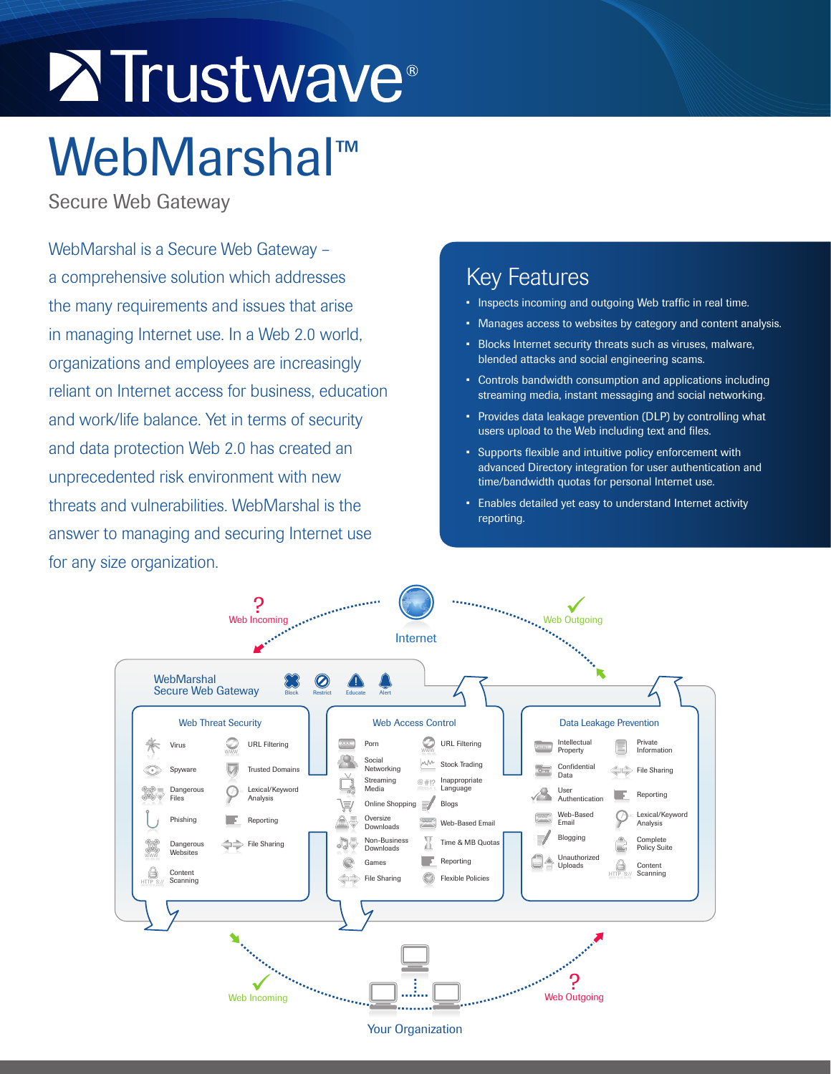# **Extrustwave**®

## WebMarshal™

Secure Web Gateway

WebMarshal is a Secure Web Gateway – a comprehensive solution which addresses the many requirements and issues that arise in managing Internet use. In a Web 2.0 world, organizations and employees are increasingly reliant on Internet access for business, education and work/life balance. Yet in terms of security and data protection Web 2.0 has created an unprecedented risk environment with new threats and vulnerabilities. WebMarshal is the answer to managing and securing Internet use for any size organization.

### Key Features

- Inspects incoming and outgoing Web traffic in real time.
- Manages access to websites by category and content analysis.
- • Blocks Internet security threats such as viruses, malware, blended attacks and social engineering scams.
- Controls bandwidth consumption and applications including streaming media, instant messaging and social networking.
- • Provides data leakage prevention (DLP) by controlling what users upload to the Web including text and files.
- • Supports flexible and intuitive policy enforcement with advanced Directory integration for user authentication and time/bandwidth quotas for personal Internet use.
- • Enables detailed yet easy to understand Internet activity reporting.

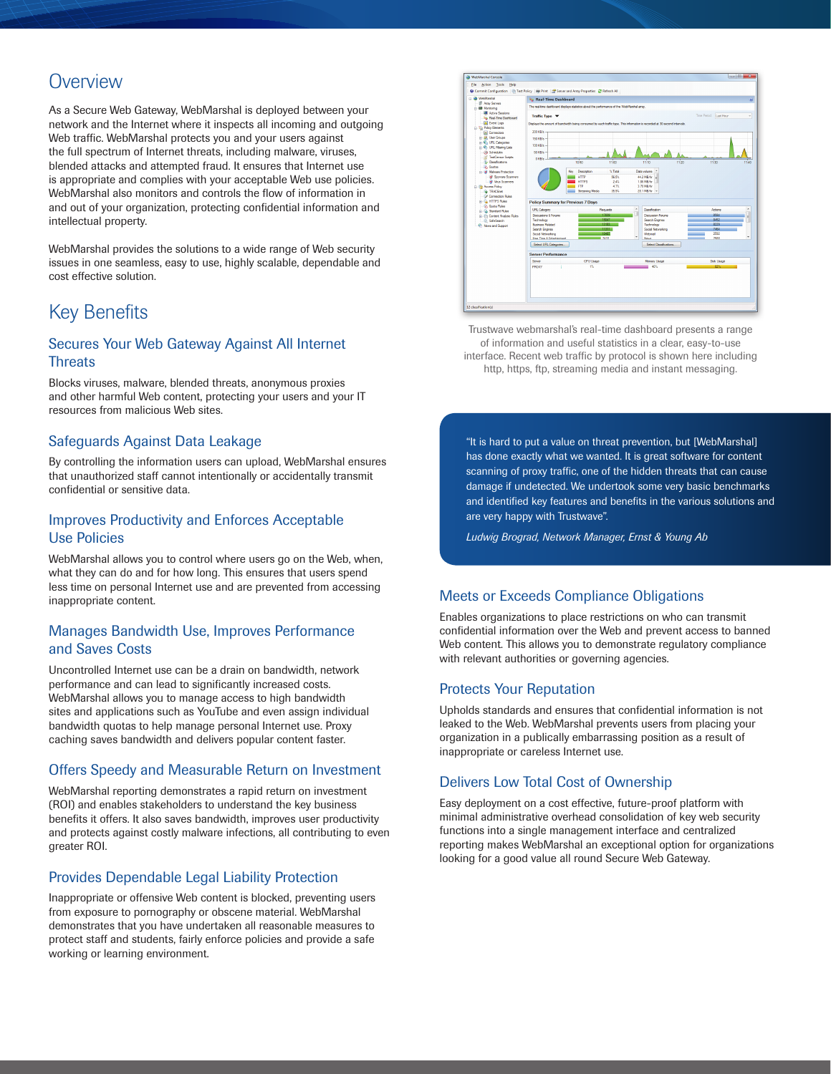#### **Overview**

As a Secure Web Gateway, WebMarshal is deployed between your network and the Internet where it inspects all incoming and outgoing Web traffic. WebMarshal protects you and your users against the full spectrum of Internet threats, including malware, viruses, blended attacks and attempted fraud. It ensures that Internet use is appropriate and complies with your acceptable Web use policies. WebMarshal also monitors and controls the flow of information in and out of your organization, protecting confidential information and intellectual property.

WebMarshal provides the solutions to a wide range of Web security issues in one seamless, easy to use, highly scalable, dependable and cost effective solution.

#### Key Benefits

#### Secures Your Web Gateway Against All Internet **Threats**

Blocks viruses, malware, blended threats, anonymous proxies and other harmful Web content, protecting your users and your IT resources from malicious Web sites.

#### Safeguards Against Data Leakage

By controlling the information users can upload, WebMarshal ensures that unauthorized staff cannot intentionally or accidentally transmit confidential or sensitive data.

#### Improves Productivity and Enforces Acceptable Use Policies

WebMarshal allows you to control where users go on the Web, when, what they can do and for how long. This ensures that users spend less time on personal Internet use and are prevented from accessing inappropriate content.

#### Manages Bandwidth Use, Improves Performance and Saves Costs

Uncontrolled Internet use can be a drain on bandwidth, network performance and can lead to significantly increased costs. WebMarshal allows you to manage access to high bandwidth sites and applications such as YouTube and even assign individual bandwidth quotas to help manage personal Internet use. Proxy caching saves bandwidth and delivers popular content faster.

#### Offers Speedy and Measurable Return on Investment

WebMarshal reporting demonstrates a rapid return on investment (ROI) and enables stakeholders to understand the key business benefits it offers. It also saves bandwidth, improves user productivity and protects against costly malware infections, all contributing to even greater ROI.

#### Provides Dependable Legal Liability Protection

Inappropriate or offensive Web content is blocked, preventing users from exposure to pornography or obscene material. WebMarshal demonstrates that you have undertaken all reasonable measures to protect staff and students, fairly enforce policies and provide a safe working or learning environment.



Trustwave webmarshal's real-time dashboard presents a range of information and useful statistics in a clear, easy-to-use interface. Recent web traffic by protocol is shown here including http, https, ftp, streaming media and instant messaging.

"It is hard to put a value on threat prevention, but [WebMarshal] has done exactly what we wanted. It is great software for content scanning of proxy traffic, one of the hidden threats that can cause damage if undetected. We undertook some very basic benchmarks and identified key features and benefits in the various solutions and are very happy with Trustwave".

*Ludwig Brograd, Network Manager, Ernst & Young Ab*

#### Meets or Exceeds Compliance Obligations

Enables organizations to place restrictions on who can transmit confidential information over the Web and prevent access to banned Web content. This allows you to demonstrate regulatory compliance with relevant authorities or governing agencies.

#### Protects Your Reputation

Upholds standards and ensures that confidential information is not leaked to the Web. WebMarshal prevents users from placing your organization in a publically embarrassing position as a result of inappropriate or careless Internet use.

#### Delivers Low Total Cost of Ownership

Easy deployment on a cost effective, future-proof platform with minimal administrative overhead consolidation of key web security functions into a single management interface and centralized reporting makes WebMarshal an exceptional option for organizations looking for a good value all round Secure Web Gateway.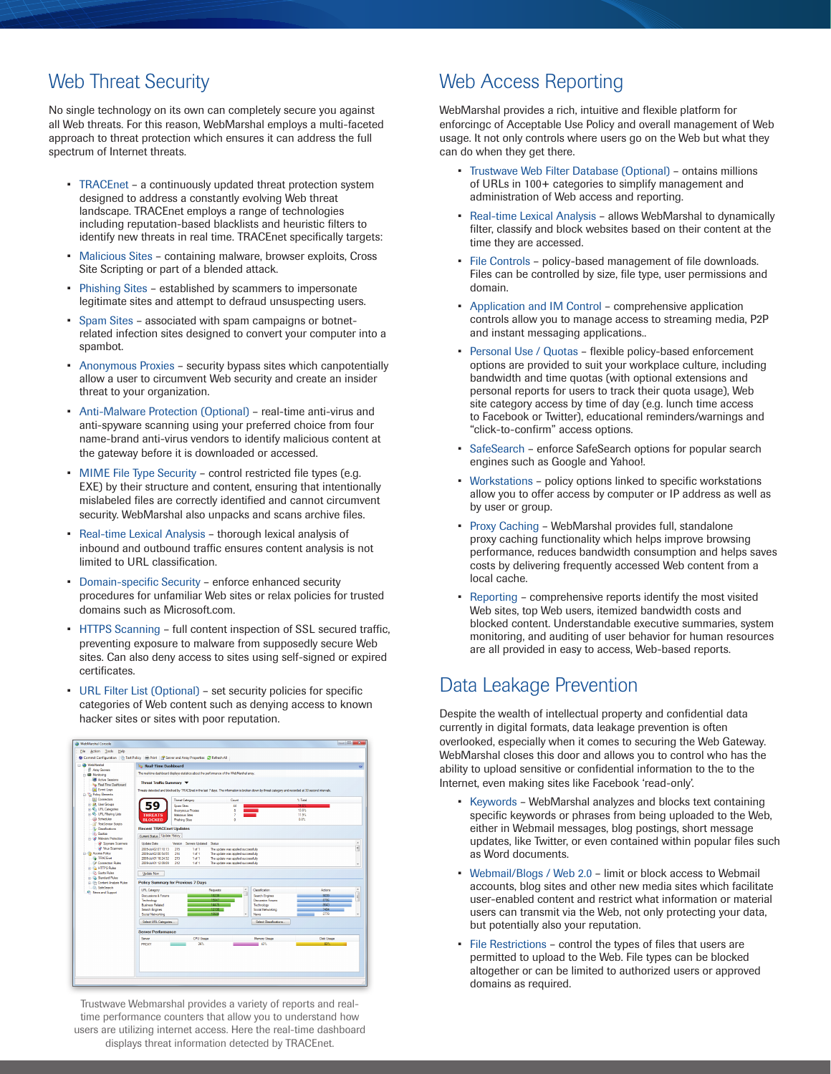#### Web Threat Security

No single technology on its own can completely secure you against all Web threats. For this reason, WebMarshal employs a multi-faceted approach to threat protection which ensures it can address the full spectrum of Internet threats.

- TRACEnet a continuously updated threat protection system designed to address a constantly evolving Web threat landscape. TRACEnet employs a range of technologies including reputation-based blacklists and heuristic filters to identify new threats in real time. TRACEnet specifically targets:
- Malicious Sites containing malware, browser exploits, Cross Site Scripting or part of a blended attack.
- • Phishing Sites established by scammers to impersonate legitimate sites and attempt to defraud unsuspecting users.
- Spam Sites associated with spam campaigns or botnetrelated infection sites designed to convert your computer into a spambot.
- Anonymous Proxies security bypass sites which canpotentially allow a user to circumvent Web security and create an insider threat to your organization.
- Anti-Malware Protection (Optional) real-time anti-virus and anti-spyware scanning using your preferred choice from four name-brand anti-virus vendors to identify malicious content at the gateway before it is downloaded or accessed.
- MIME File Type Security control restricted file types (e.g. EXE) by their structure and content, ensuring that intentionally mislabeled files are correctly identified and cannot circumvent security. WebMarshal also unpacks and scans archive files.
- Real-time Lexical Analysis thorough lexical analysis of inbound and outbound traffic ensures content analysis is not limited to URL classification.
- • Domain-specific Security enforce enhanced security procedures for unfamiliar Web sites or relax policies for trusted domains such as Microsoft.com.
- HTTPS Scanning full content inspection of SSL secured traffic, preventing exposure to malware from supposedly secure Web sites. Can also deny access to sites using self-signed or expired certificates.
- URL Filter List (Optional) set security policies for specific categories of Web content such as denying access to known hacker sites or sites with poor reputation.

| WebMarshal Console                                                                                      |                                                                                                                                                     |                                           |                                                 |                                                                            |                                 |                   | $\begin{array}{c c c c c} \hline \multicolumn{1}{c }{\textbf{a}} & \multicolumn{1}{c }{\textbf{a}} & \multicolumn{1}{c }{\textbf{a}} & \multicolumn{1}{c }{\textbf{a}} & \multicolumn{1}{c }{\textbf{a}} & \multicolumn{1}{c }{\textbf{a}} & \multicolumn{1}{c }{\textbf{a}} & \multicolumn{1}{c }{\textbf{a}} & \multicolumn{1}{c }{\textbf{a}} & \multicolumn{1}{c }{\textbf{a}} & \multicolumn{1}{c }{\textbf{a}} & \multicolumn{1}{c }{\textbf{a$ |  |
|---------------------------------------------------------------------------------------------------------|-----------------------------------------------------------------------------------------------------------------------------------------------------|-------------------------------------------|-------------------------------------------------|----------------------------------------------------------------------------|---------------------------------|-------------------|-------------------------------------------------------------------------------------------------------------------------------------------------------------------------------------------------------------------------------------------------------------------------------------------------------------------------------------------------------------------------------------------------------------------------------------------------------|--|
| Action Tools<br>File<br>Help                                                                            |                                                                                                                                                     |                                           |                                                 |                                                                            |                                 |                   |                                                                                                                                                                                                                                                                                                                                                                                                                                                       |  |
| 60 Commit Configuration   (2) Test Policy   (8) Print   (2) Server and Array Properties (2) Refresh All |                                                                                                                                                     |                                           |                                                 |                                                                            |                                 |                   |                                                                                                                                                                                                                                                                                                                                                                                                                                                       |  |
| - @ WebMarshall<br><b>Aray Servers</b>                                                                  | <b>C</b> Real-Time Dashboard                                                                                                                        |                                           |                                                 |                                                                            |                                 |                   | X6                                                                                                                                                                                                                                                                                                                                                                                                                                                    |  |
| <b>B</b> Montong                                                                                        | The real-time dashboard displays statistics about the performance of the WebMarshal array.                                                          |                                           |                                                 |                                                                            |                                 |                   |                                                                                                                                                                                                                                                                                                                                                                                                                                                       |  |
| <b>E Active Sessions</b>                                                                                | Threat Traffic Summary                                                                                                                              |                                           |                                                 |                                                                            |                                 |                   |                                                                                                                                                                                                                                                                                                                                                                                                                                                       |  |
| In Real-Time Deshboard<br><b>EN Event Logs</b>                                                          | Threats detected and blocked by TRACEnet in the last 7 days. The information is broken down by threat category and recorded at 30 second intervals. |                                           |                                                 |                                                                            |                                 |                   |                                                                                                                                                                                                                                                                                                                                                                                                                                                       |  |
| Sig Polcy Benerts                                                                                       |                                                                                                                                                     |                                           |                                                 |                                                                            |                                 |                   |                                                                                                                                                                                                                                                                                                                                                                                                                                                       |  |
| [8] Connectors                                                                                          |                                                                                                                                                     | <b>Threat Category</b>                    |                                                 | Count                                                                      |                                 | % Tatal           |                                                                                                                                                                                                                                                                                                                                                                                                                                                       |  |
| In St. User Groups<br>(i) C URL Categories                                                              |                                                                                                                                                     | <b>Snam Steel</b>                         |                                                 | 44                                                                         |                                 | M G               |                                                                                                                                                                                                                                                                                                                                                                                                                                                       |  |
| B. C. URL Fiberng Lists                                                                                 | <b>THREATS</b>                                                                                                                                      | Anomenous Prodes<br><b>Malcious Stee</b>  |                                                 | s<br>7                                                                     |                                 | 13.6%<br>119%     |                                                                                                                                                                                                                                                                                                                                                                                                                                                       |  |
| (A) Schedules                                                                                           | <b>BLOCKED</b>                                                                                                                                      | <b>Phishing Stee</b>                      |                                                 | ۰                                                                          |                                 | 0.0%              |                                                                                                                                                                                                                                                                                                                                                                                                                                                       |  |
| TextCensor Scripts                                                                                      |                                                                                                                                                     |                                           |                                                 |                                                                            |                                 |                   |                                                                                                                                                                                                                                                                                                                                                                                                                                                       |  |
| <b>IL Classifications</b><br><b>Counter</b>                                                             | <b>Recent TRACEnet Updates</b>                                                                                                                      |                                           |                                                 |                                                                            |                                 |                   |                                                                                                                                                                                                                                                                                                                                                                                                                                                       |  |
| <b>B</b> Malware Protection                                                                             | Current Status Update History                                                                                                                       |                                           |                                                 |                                                                            |                                 |                   |                                                                                                                                                                                                                                                                                                                                                                                                                                                       |  |
| Spyware Scanners<br>W Vius Scanners                                                                     | <b>Undate Date</b>                                                                                                                                  | Version                                   | Servers Updated Status                          |                                                                            |                                 |                   | Ê                                                                                                                                                                                                                                                                                                                                                                                                                                                     |  |
| <b>B</b> <i>Access Policy</i>                                                                           | 2005-Ad-02 07:10:13<br>2009-0402 00:54:55                                                                                                           | 215<br>214                                | 1 <sub>0</sub><br>1 <sub>0</sub> 1 <sub>1</sub> | The update was applied successfully<br>The update was applied auconstruity |                                 |                   |                                                                                                                                                                                                                                                                                                                                                                                                                                                       |  |
| <b>G</b> TRACEnet                                                                                       | 2005-M-01 18:24:32                                                                                                                                  | 213                                       | 1 <sub>0</sub> 1 <sub>1</sub>                   | The update was applied successfully                                        |                                 |                   |                                                                                                                                                                                                                                                                                                                                                                                                                                                       |  |
| Connection Rules                                                                                        | 2009-04-01 12:09:09                                                                                                                                 | 212                                       | 1 <sub>d</sub> 1                                | The undate was applied successfully                                        |                                 |                   |                                                                                                                                                                                                                                                                                                                                                                                                                                                       |  |
| <b>ID. HTTPS Rules</b><br><b>Co. Quota Rules</b>                                                        | <b>Update Now</b>                                                                                                                                   |                                           |                                                 |                                                                            |                                 |                   |                                                                                                                                                                                                                                                                                                                                                                                                                                                       |  |
| (i) Ga. Standard Rules                                                                                  |                                                                                                                                                     |                                           |                                                 |                                                                            |                                 |                   |                                                                                                                                                                                                                                                                                                                                                                                                                                                       |  |
| (c) (P) Content Analysis Rules                                                                          |                                                                                                                                                     | <b>Policy Summary for Previous 7 Days</b> |                                                 |                                                                            |                                 |                   |                                                                                                                                                                                                                                                                                                                                                                                                                                                       |  |
| SefeSearch<br><sup>6</sup> . News and Support                                                           | URL Category                                                                                                                                        |                                           |                                                 | ٠<br>Requests                                                              | Cleanfordian                    | Actions           | ۰                                                                                                                                                                                                                                                                                                                                                                                                                                                     |  |
|                                                                                                         | Decuminos & Forums                                                                                                                                  |                                           |                                                 | 18239<br>15847                                                             | Search Engines                  | 9039<br>8706      | ë                                                                                                                                                                                                                                                                                                                                                                                                                                                     |  |
|                                                                                                         | Technology<br>Business Related                                                                                                                      |                                           |                                                 | m                                                                          | Discussion Forums<br>Technology | 8643              |                                                                                                                                                                                                                                                                                                                                                                                                                                                       |  |
|                                                                                                         | Search Engines                                                                                                                                      |                                           |                                                 | 1919.                                                                      | Social Networking               | 7484              |                                                                                                                                                                                                                                                                                                                                                                                                                                                       |  |
|                                                                                                         | Social Networking                                                                                                                                   |                                           |                                                 | तरहरू                                                                      | News                            | 2778              |                                                                                                                                                                                                                                                                                                                                                                                                                                                       |  |
|                                                                                                         | Select URL Categories.                                                                                                                              |                                           |                                                 |                                                                            | Select Classifications.         |                   |                                                                                                                                                                                                                                                                                                                                                                                                                                                       |  |
|                                                                                                         | <b>Server Performance</b>                                                                                                                           |                                           |                                                 |                                                                            |                                 |                   |                                                                                                                                                                                                                                                                                                                                                                                                                                                       |  |
|                                                                                                         | Senier                                                                                                                                              |                                           | <b>CPU Useon</b>                                |                                                                            | Memory Usage                    | <b>Disk Usage</b> |                                                                                                                                                                                                                                                                                                                                                                                                                                                       |  |
|                                                                                                         | PROXY                                                                                                                                               |                                           | 26%                                             |                                                                            | 42%                             | 82%               |                                                                                                                                                                                                                                                                                                                                                                                                                                                       |  |
|                                                                                                         |                                                                                                                                                     |                                           |                                                 |                                                                            |                                 |                   |                                                                                                                                                                                                                                                                                                                                                                                                                                                       |  |
|                                                                                                         |                                                                                                                                                     |                                           |                                                 |                                                                            |                                 |                   |                                                                                                                                                                                                                                                                                                                                                                                                                                                       |  |
|                                                                                                         |                                                                                                                                                     |                                           |                                                 |                                                                            |                                 |                   |                                                                                                                                                                                                                                                                                                                                                                                                                                                       |  |
|                                                                                                         |                                                                                                                                                     |                                           |                                                 |                                                                            |                                 |                   |                                                                                                                                                                                                                                                                                                                                                                                                                                                       |  |
|                                                                                                         |                                                                                                                                                     |                                           |                                                 |                                                                            |                                 |                   |                                                                                                                                                                                                                                                                                                                                                                                                                                                       |  |

Trustwave Webmarshal provides a variety of reports and realtime performance counters that allow you to understand how users are utilizing internet access. Here the real-time dashboard displays threat information detected by TRACEnet.

#### Web Access Reporting

WebMarshal provides a rich, intuitive and flexible platform for enforcingc of Acceptable Use Policy and overall management of Web usage. It not only controls where users go on the Web but what they can do when they get there.

- Trustwave Web Filter Database (Optional) ontains millions of URLs in 100+ categories to simplify management and administration of Web access and reporting.
- Real-time Lexical Analysis allows WebMarshal to dynamically filter, classify and block websites based on their content at the time they are accessed.
- File Controls policy-based management of file downloads. Files can be controlled by size, file type, user permissions and domain.
- • Application and IM Control comprehensive application controls allow you to manage access to streaming media, P2P and instant messaging applications..
- Personal Use / Quotas flexible policy-based enforcement options are provided to suit your workplace culture, including bandwidth and time quotas (with optional extensions and personal reports for users to track their quota usage), Web site category access by time of day (e.g. lunch time access to Facebook or Twitter), educational reminders/warnings and "click-to-confirm" access options.
- SafeSearch enforce SafeSearch options for popular search engines such as Google and Yahoo!.
- Workstations policy options linked to specific workstations allow you to offer access by computer or IP address as well as by user or group.
- Proxy Caching WebMarshal provides full, standalone proxy caching functionality which helps improve browsing performance, reduces bandwidth consumption and helps saves costs by delivering frequently accessed Web content from a local cache.
- Reporting comprehensive reports identify the most visited Web sites, top Web users, itemized bandwidth costs and blocked content. Understandable executive summaries, system monitoring, and auditing of user behavior for human resources are all provided in easy to access, Web-based reports.

#### Data Leakage Prevention

Despite the wealth of intellectual property and confidential data currently in digital formats, data leakage prevention is often overlooked, especially when it comes to securing the Web Gateway. WebMarshal closes this door and allows you to control who has the ability to upload sensitive or confidential information to the to the Internet, even making sites like Facebook 'read-only'.

- Keywords WebMarshal analyzes and blocks text containing specific keywords or phrases from being uploaded to the Web, either in Webmail messages, blog postings, short message updates, like Twitter, or even contained within popular files such as Word documents.
- Webmail/Blogs / Web 2.0 limit or block access to Webmail accounts, blog sites and other new media sites which facilitate user-enabled content and restrict what information or material users can transmit via the Web, not only protecting your data, but potentially also your reputation.
- File Restrictions control the types of files that users are permitted to upload to the Web. File types can be blocked altogether or can be limited to authorized users or approved domains as required.